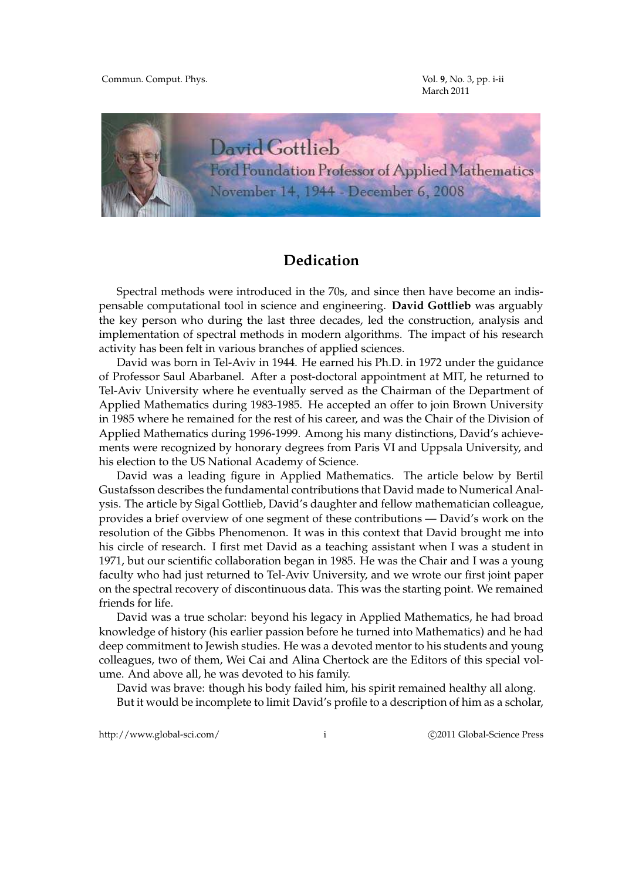Commun. Comput. Phys. Vol. **9**, No. 3, pp. i-ii

March 2011



## **Dedication**

Spectral methods were introduced in the 70s, and since then have become an indispensable computational tool in science and engineering. **David Gottlieb** was arguably the key person who during the last three decades, led the construction, analysis and implementation of spectral methods in modern algorithms. The impact of his research activity has been felt in various branches of applied sciences.

David was born in Tel-Aviv in 1944. He earned his Ph.D. in 1972 under the guidance of Professor Saul Abarbanel. After a post-doctoral appointment at MIT, he returned to Tel-Aviv University where he eventually served as the Chairman of the Department of Applied Mathematics during 1983-1985. He accepted an offer to join Brown University in 1985 where he remained for the rest of his career, and was the Chair of the Division of Applied Mathematics during 1996-1999. Among his many distinctions, David's achievements were recognized by honorary degrees from Paris VI and Uppsala University, and his election to the US National Academy of Science.

David was a leading figure in Applied Mathematics. The article below by Bertil Gustafsson describes the fundamental contributions that David made to Numerical Analysis. The article by Sigal Gottlieb, David's daughter and fellow mathematician colleague, provides a brief overview of one segment of these contributions — David's work on the resolution of the Gibbs Phenomenon. It was in this context that David brought me into his circle of research. I first met David as a teaching assistant when I was a student in 1971, but our scientific collaboration began in 1985. He was the Chair and I was a young faculty who had just returned to Tel-Aviv University, and we wrote our first joint paper on the spectral recovery of discontinuous data. This was the starting point. We remained friends for life.

David was a true scholar: beyond his legacy in Applied Mathematics, he had broad knowledge of history (his earlier passion before he turned into Mathematics) and he had deep commitment to Jewish studies. He was a devoted mentor to his students and young colleagues, two of them, Wei Cai and Alina Chertock are the Editors of this special volume. And above all, he was devoted to his family.

David was brave: though his body failed him, his spirit remained healthy all along. But it would be incomplete to limit David's profile to a description of him as a scholar,